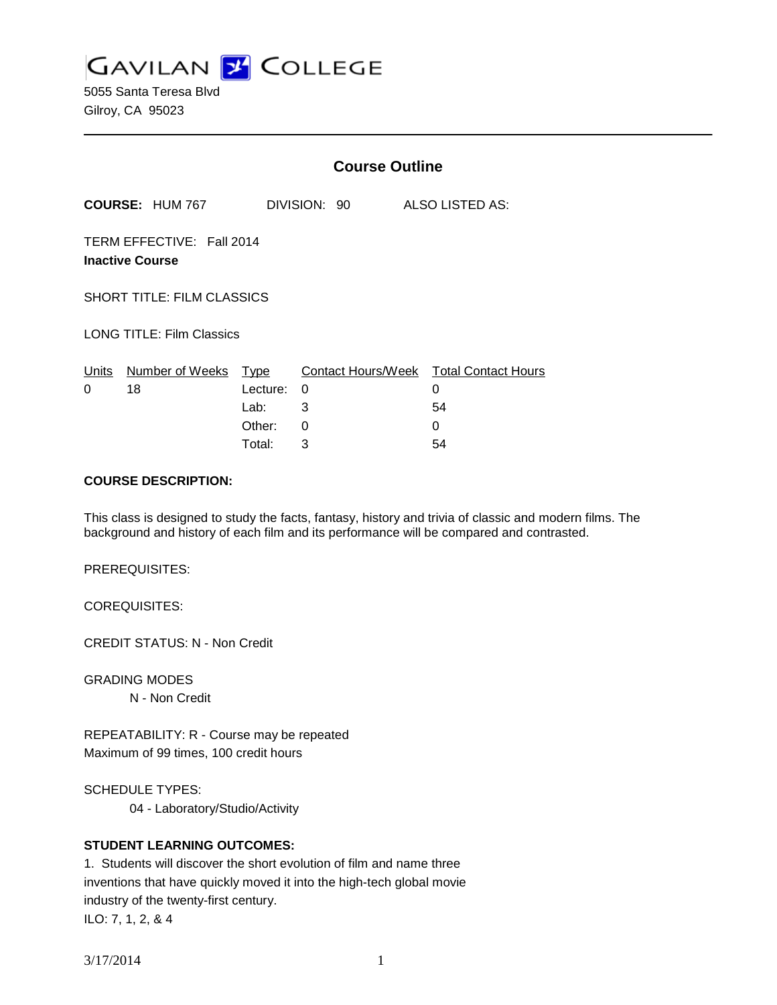

5055 Santa Teresa Blvd Gilroy, CA 95023

|                        | <b>Course Outline</b> |                                                                                                                              |                          |                                        |
|------------------------|-----------------------|------------------------------------------------------------------------------------------------------------------------------|--------------------------|----------------------------------------|
|                        |                       |                                                                                                                              |                          | ALSO LISTED AS:                        |
| <b>Inactive Course</b> |                       |                                                                                                                              |                          |                                        |
|                        |                       |                                                                                                                              |                          |                                        |
|                        |                       |                                                                                                                              |                          |                                        |
| Number of Weeks        | Type                  |                                                                                                                              |                          |                                        |
| 18                     |                       | 0                                                                                                                            |                          | 0                                      |
|                        | Lab:                  | 3                                                                                                                            |                          | 54                                     |
|                        | Other:                | 0                                                                                                                            |                          | 0                                      |
|                        | Total:                | 3                                                                                                                            |                          | 54                                     |
|                        |                       | <b>COURSE: HUM 767</b><br>TERM EFFECTIVE: Fall 2014<br><b>SHORT TITLE: FILM CLASSICS</b><br><b>LONG TITLE: Film Classics</b> | DIVISION: 90<br>Lecture: | Contact Hours/Week Total Contact Hours |

## **COURSE DESCRIPTION:**

This class is designed to study the facts, fantasy, history and trivia of classic and modern films. The background and history of each film and its performance will be compared and contrasted.

PREREQUISITES:

COREQUISITES:

CREDIT STATUS: N - Non Credit

GRADING MODES

N - Non Credit

REPEATABILITY: R - Course may be repeated Maximum of 99 times, 100 credit hours

SCHEDULE TYPES:

04 - Laboratory/Studio/Activity

# **STUDENT LEARNING OUTCOMES:**

1. Students will discover the short evolution of film and name three inventions that have quickly moved it into the high-tech global movie industry of the twenty-first century. ILO: 7, 1, 2, & 4

3/17/2014 1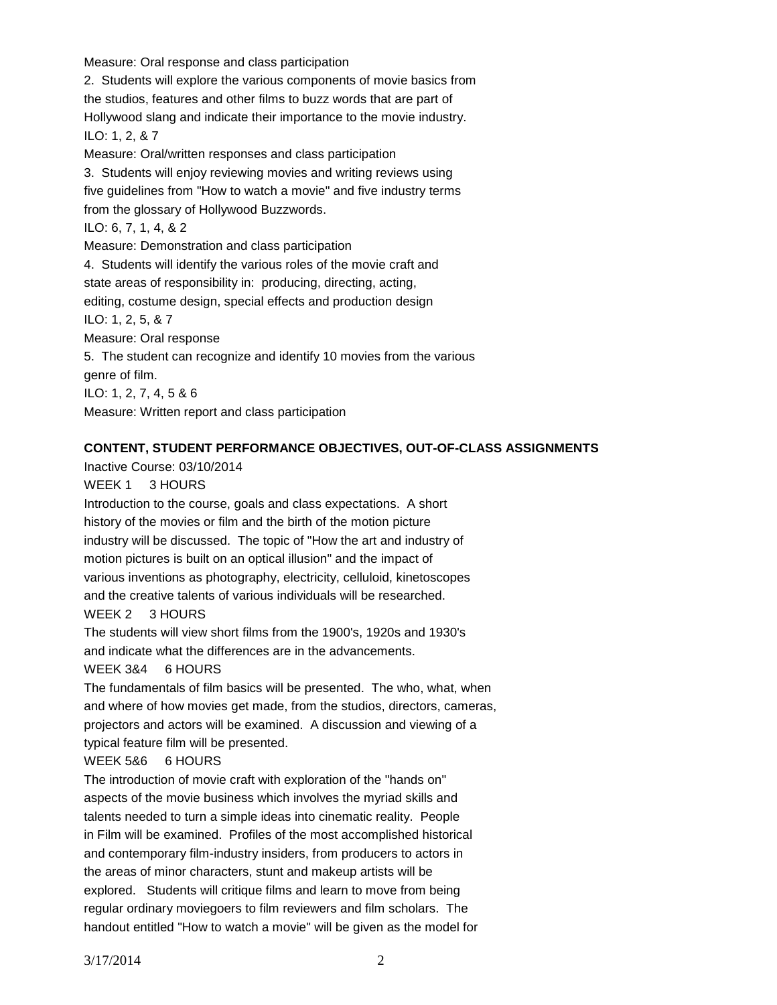Measure: Oral response and class participation 2. Students will explore the various components of movie basics from the studios, features and other films to buzz words that are part of Hollywood slang and indicate their importance to the movie industry. ILO: 1, 2, & 7 Measure: Oral/written responses and class participation 3. Students will enjoy reviewing movies and writing reviews using five guidelines from "How to watch a movie" and five industry terms from the glossary of Hollywood Buzzwords. ILO: 6, 7, 1, 4, & 2 Measure: Demonstration and class participation 4. Students will identify the various roles of the movie craft and state areas of responsibility in: producing, directing, acting, editing, costume design, special effects and production design ILO: 1, 2, 5, & 7 Measure: Oral response 5. The student can recognize and identify 10 movies from the various genre of film. ILO: 1, 2, 7, 4, 5 & 6 Measure: Written report and class participation

## **CONTENT, STUDENT PERFORMANCE OBJECTIVES, OUT-OF-CLASS ASSIGNMENTS**

Inactive Course: 03/10/2014

### WEEK 1 3 HOURS

Introduction to the course, goals and class expectations. A short history of the movies or film and the birth of the motion picture industry will be discussed. The topic of "How the art and industry of motion pictures is built on an optical illusion" and the impact of various inventions as photography, electricity, celluloid, kinetoscopes and the creative talents of various individuals will be researched.

### WEEK 2 3 HOURS

The students will view short films from the 1900's, 1920s and 1930's and indicate what the differences are in the advancements.

## WEEK 3&4 6 HOURS

The fundamentals of film basics will be presented. The who, what, when and where of how movies get made, from the studios, directors, cameras, projectors and actors will be examined. A discussion and viewing of a typical feature film will be presented.

### WEEK 5&6 6 HOURS

The introduction of movie craft with exploration of the "hands on" aspects of the movie business which involves the myriad skills and talents needed to turn a simple ideas into cinematic reality. People in Film will be examined. Profiles of the most accomplished historical and contemporary film-industry insiders, from producers to actors in the areas of minor characters, stunt and makeup artists will be explored. Students will critique films and learn to move from being regular ordinary moviegoers to film reviewers and film scholars. The handout entitled "How to watch a movie" will be given as the model for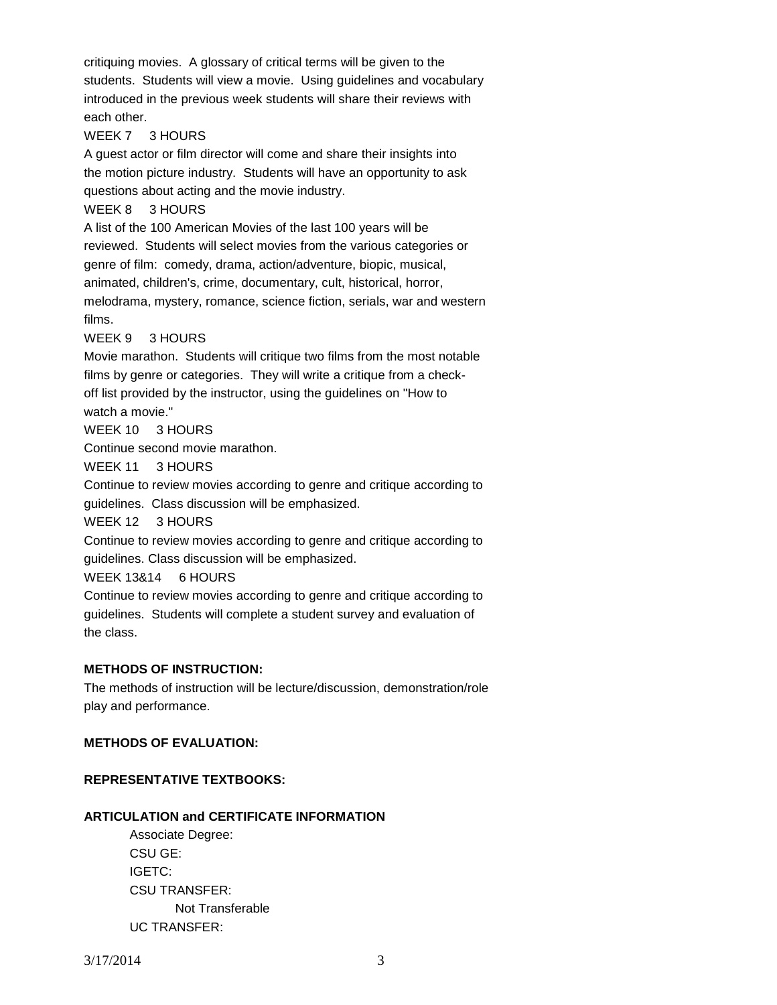critiquing movies. A glossary of critical terms will be given to the students. Students will view a movie. Using guidelines and vocabulary introduced in the previous week students will share their reviews with each other.

# WEEK 7 3 HOURS

A guest actor or film director will come and share their insights into the motion picture industry. Students will have an opportunity to ask questions about acting and the movie industry.

# WEEK 8 3 HOURS

A list of the 100 American Movies of the last 100 years will be reviewed. Students will select movies from the various categories or genre of film: comedy, drama, action/adventure, biopic, musical, animated, children's, crime, documentary, cult, historical, horror, melodrama, mystery, romance, science fiction, serials, war and western films.

# WEEK 9 3 HOURS

Movie marathon. Students will critique two films from the most notable films by genre or categories. They will write a critique from a checkoff list provided by the instructor, using the guidelines on "How to watch a movie."

# WEEK 10 3 HOURS

Continue second movie marathon.

WEEK 11 3 HOURS

Continue to review movies according to genre and critique according to guidelines. Class discussion will be emphasized.

WEEK 12 3 HOURS

Continue to review movies according to genre and critique according to guidelines. Class discussion will be emphasized.

### WEEK 13&14 6 HOURS

Continue to review movies according to genre and critique according to guidelines. Students will complete a student survey and evaluation of the class.

# **METHODS OF INSTRUCTION:**

The methods of instruction will be lecture/discussion, demonstration/role play and performance.

# **METHODS OF EVALUATION:**

# **REPRESENTATIVE TEXTBOOKS:**

# **ARTICULATION and CERTIFICATE INFORMATION**

Associate Degree: CSU GE: IGETC: CSU TRANSFER: Not Transferable UC TRANSFER: